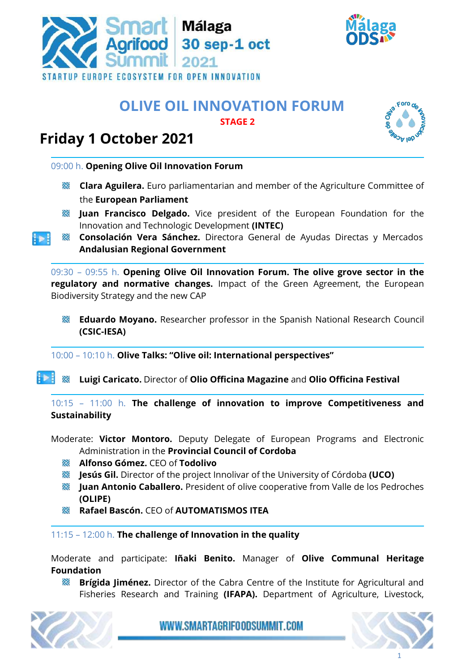



## **OLIVE OIL INNOVATION FORUM STAGE 2**

## **Friday 1 October 2021**

09:00 h. **Opening Olive Oil Innovation Forum**

- **Clara Aguilera.** Euro parliamentarian and member of the Agriculture Committee of the **European Parliament**
- **Juan Francisco Delgado.** Vice president of the European Foundation for the Innovation and Technologic Development **(INTEC)**
- **Consolación Vera Sánchez.** Directora General de Ayudas Directas y Mercados  $1 \triangleright 1$ **Andalusian Regional Government**

09:30 – 09:55 h. **Opening Olive Oil Innovation Forum. The olive grove sector in the regulatory and normative changes.** Impact of the Green Agreement, the European Biodiversity Strategy and the new CAP

**Eduardo Moyano.** Researcher professor in the Spanish National Research Council **(CSIC-IESA)**

10:00 – 10:10 h. **Olive Talks: "Olive oil: International perspectives"**

 $\mathbf{H}$ **Luigi Caricato.** Director of **Olio Officina Magazine** and **Olio Officina Festival**

10:15 – 11:00 h. **The challenge of innovation to improve Competitiveness and Sustainability** 

- Moderate: **Victor Montoro.** Deputy Delegate of European Programs and Electronic Administration in the **Provincial Council of Cordoba**
	- **Alfonso Gómez.** CEO of **Todolivo**
	- **Jesús Gil.** Director of the project Innolivar of the University of Córdoba **(UCO)**
	- **Juan Antonio Caballero.** President of olive cooperative from Valle de los Pedroches **(OLIPE)**
	- **Rafael Bascón.** CEO of **AUTOMATISMOS ITEA**

11:15 – 12:00 h. **The challenge of Innovation in the quality** 

Moderate and participate: **Iñaki Benito.** Manager of **Olive Communal Heritage Foundation**

**Brígida Jiménez.** Director of the Cabra Centre of the Institute for Agricultural and Fisheries Research and Training **(IFAPA).** Department of Agriculture, Livestock,